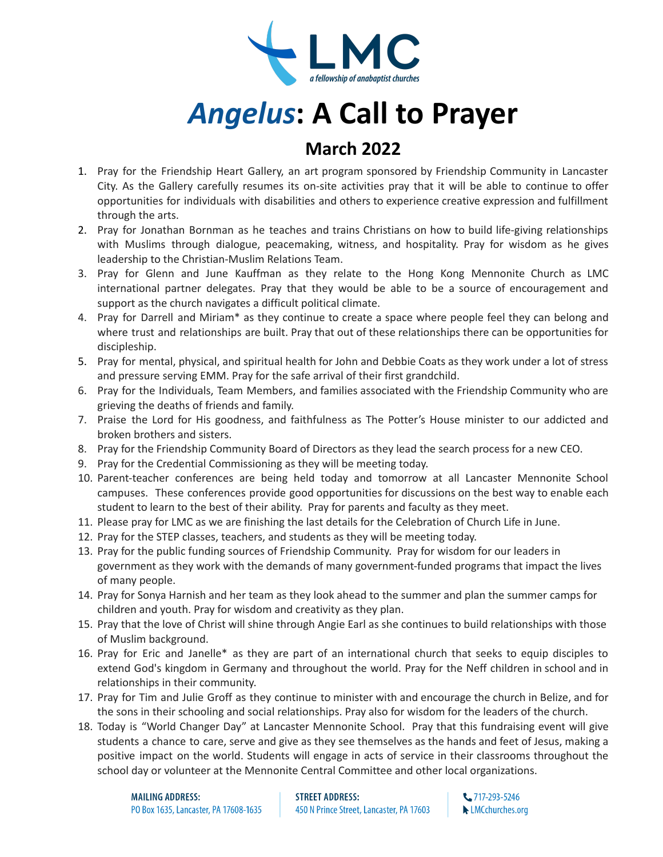

## *Angelus***: A Call to Prayer**

## **March 2022**

- 1. Pray for the Friendship Heart Gallery, an art program sponsored by Friendship Community in Lancaster City. As the Gallery carefully resumes its on-site activities pray that it will be able to continue to offer opportunities for individuals with disabilities and others to experience creative expression and fulfillment through the arts.
- 2. Pray for Jonathan Bornman as he teaches and trains Christians on how to build life-giving relationships with Muslims through dialogue, peacemaking, witness, and hospitality. Pray for wisdom as he gives leadership to the Christian-Muslim Relations Team.
- 3. Pray for Glenn and June Kauffman as they relate to the Hong Kong Mennonite Church as LMC international partner delegates. Pray that they would be able to be a source of encouragement and support as the church navigates a difficult political climate.
- 4. Pray for Darrell and Miriam\* as they continue to create a space where people feel they can belong and where trust and relationships are built. Pray that out of these relationships there can be opportunities for discipleship.
- 5. Pray for mental, physical, and spiritual health for John and Debbie Coats as they work under a lot of stress and pressure serving EMM. Pray for the safe arrival of their first grandchild.
- 6. Pray for the Individuals, Team Members, and families associated with the Friendship Community who are grieving the deaths of friends and family.
- 7. Praise the Lord for His goodness, and faithfulness as The Potter's House minister to our addicted and broken brothers and sisters.
- 8. Pray for the Friendship Community Board of Directors as they lead the search process for a new CEO.
- 9. Pray for the Credential Commissioning as they will be meeting today.
- 10. Parent-teacher conferences are being held today and tomorrow at all Lancaster Mennonite School campuses. These conferences provide good opportunities for discussions on the best way to enable each student to learn to the best of their ability. Pray for parents and faculty as they meet.
- 11. Please pray for LMC as we are finishing the last details for the Celebration of Church Life in June.
- 12. Pray for the STEP classes, teachers, and students as they will be meeting today.
- 13. Pray for the public funding sources of Friendship Community. Pray for wisdom for our leaders in government as they work with the demands of many government-funded programs that impact the lives of many people.
- 14. Pray for Sonya Harnish and her team as they look ahead to the summer and plan the summer camps for children and youth. Pray for wisdom and creativity as they plan.
- 15. Pray that the love of Christ will shine through Angie Earl as she continues to build relationships with those of Muslim background.
- 16. Pray for Eric and Janelle\* as they are part of an international church that seeks to equip disciples to extend God's kingdom in Germany and throughout the world. Pray for the Neff children in school and in relationships in their community.
- 17. Pray for Tim and Julie Groff as they continue to minister with and encourage the church in Belize, and for the sons in their schooling and social relationships. Pray also for wisdom for the leaders of the church.
- 18. Today is "World Changer Day" at Lancaster Mennonite School. Pray that this fundraising event will give students a chance to care, serve and give as they see themselves as the hands and feet of Jesus, making a positive impact on the world. Students will engage in acts of service in their classrooms throughout the school day or volunteer at the Mennonite Central Committee and other local organizations.